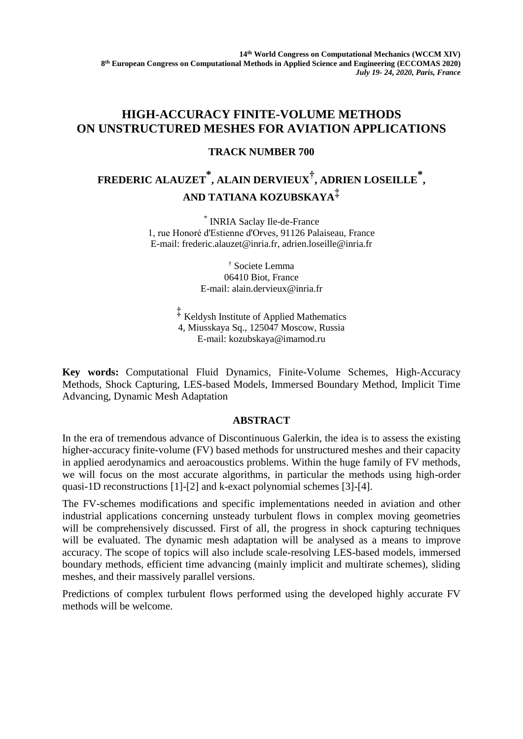## **HIGH-ACCURACY FINITE-VOLUME METHODS ON UNSTRUCTURED MESHES FOR AVIATION APPLICATIONS**

### **TRACK NUMBER 700**

# **FREDERIC ALAUZET \* , ALAIN DERVIEUX† , ADRIEN LOSEILLE \* , AND TATIANA KOZUBSKAYA‡**

\* INRIA Saclay Ile-de-France 1, rue Honoré d'Estienne d'Orves, 91126 Palaiseau, France E-mail: [frederic.alauzet@inria.fr,](mailto:frederic.alauzet@inria.fr) adrien.loseille@inria.fr

> † Societe Lemma 06410 Biot, France E-mail: [alain.dervieux@inria.fr](mailto:alain.dervieux@inria.fr)

‡ Keldysh Institute of Applied Mathematics 4, Miusskaya Sq., 125047 Moscow, Russia E-mail: kozubskaya@imamod.ru

**Key words:** Computational Fluid Dynamics, Finite-Volume Schemes, High-Accuracy Methods, Shock Capturing, LES-based Models, Immersed Boundary Method, Implicit Time Advancing, Dynamic Mesh Adaptation

### **ABSTRACT**

In the era of tremendous advance of Discontinuous Galerkin, the idea is to assess the existing higher-accuracy finite-volume (FV) based methods for unstructured meshes and their capacity in applied aerodynamics and aeroacoustics problems. Within the huge family of FV methods, we will focus on the most accurate algorithms, in particular the methods using high-order quasi-1D reconstructions [1]-[2] and k-exact polynomial schemes [3]-[4].

The FV-schemes modifications and specific implementations needed in aviation and other industrial applications concerning unsteady turbulent flows in complex moving geometries will be comprehensively discussed. First of all, the progress in shock capturing techniques will be evaluated. The dynamic mesh adaptation will be analysed as a means to improve accuracy. The scope of topics will also include scale-resolving LES-based models, immersed boundary methods, efficient time advancing (mainly implicit and multirate schemes), sliding meshes, and their massively parallel versions.

Predictions of complex turbulent flows performed using the developed highly accurate FV methods will be welcome.